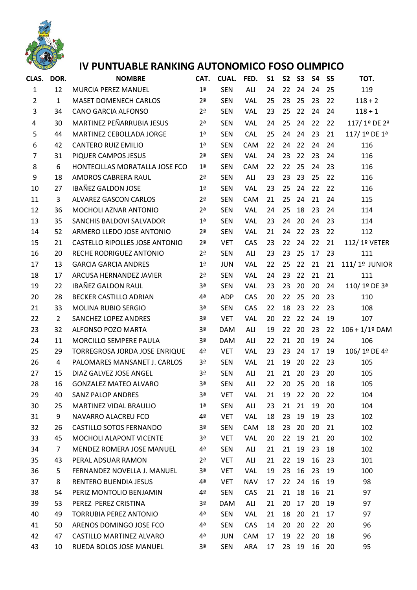

## **IV PUNTUABLE RANKING AUTONOMICO FOSO OLIMPICO**

| CLAS.          | DOR.           | <b>NOMBRE</b>                    | CAT.           | CUAL.      | FED.       | S <sub>1</sub> | <b>S2</b> | <b>S3</b> | <b>S4</b> | S <sub>5</sub> | TOT.           |
|----------------|----------------|----------------------------------|----------------|------------|------------|----------------|-----------|-----------|-----------|----------------|----------------|
| $\mathbf{1}$   | 12             | MURCIA PEREZ MANUEL              | 1 <sup>a</sup> | <b>SEN</b> | ALI        | 24             | 22        | 24        | 24        | 25             | 119            |
| $\overline{2}$ | $\mathbf{1}$   | <b>MASET DOMENECH CARLOS</b>     | 2 <sup>a</sup> | <b>SEN</b> | VAL        | 25             | 23        | 25        | 23        | 22             | $118 + 2$      |
| 3              | 34             | <b>CANO GARCIA ALFONSO</b>       | 2 <sup>a</sup> | <b>SEN</b> | <b>VAL</b> | 23             | 25        | 22        | 24        | 24             | $118 + 1$      |
| 4              | 30             | MARTINEZ PEÑARRUBIA JESUS        | 2 <sup>a</sup> | <b>SEN</b> | VAL        | 24             | 25        | 24        | 22        | 22             | 117/1º DE 2ª   |
| 5              | 44             | MARTINEZ CEBOLLADA JORGE         | 1 <sup>a</sup> | <b>SEN</b> | <b>CAL</b> | 25             | 24        | 24        | 23        | 21             | 117/1º DE 1ª   |
| 6              | 42             | <b>CANTERO RUIZ EMILIO</b>       | 1 <sup>a</sup> | <b>SEN</b> | CAM        | 22             | 24        | 22        | 24        | 24             | 116            |
| $\overline{7}$ | 31             | PIQUER CAMPOS JESUS              | 2 <sup>a</sup> | <b>SEN</b> | VAL        | 24             | 23        | 22        | 23        | 24             | 116            |
| 8              | 6              | HONTECILLAS MORATALLA JOSE FCO   | 1 <sup>a</sup> | <b>SEN</b> | CAM        | 22             | 22        | 25        | 24        | 23             | 116            |
| 9              | 18             | AMOROS CABRERA RAUL              | 2 <sup>a</sup> | <b>SEN</b> | ALI        | 23             | 23        | 23        | 25        | 22             | 116            |
| 10             | 27             | <b>IBAÑEZ GALDON JOSE</b>        | 1 <sup>a</sup> | <b>SEN</b> | <b>VAL</b> | 23             | 25        | 24        | 22        | 22             | 116            |
| 11             | 3              | <b>ALVAREZ GASCON CARLOS</b>     | 2 <sup>a</sup> | <b>SEN</b> | CAM        | 21             | 25        | 24        | 21        | 24             | 115            |
| 12             | 36             | MOCHOLI AZNAR ANTONIO            | 2 <sup>a</sup> | <b>SEN</b> | <b>VAL</b> | 24             | 25        | 18        | 23        | 24             | 114            |
| 13             | 35             | SANCHIS BALDOVI SALVADOR         | 1 <sup>a</sup> | <b>SEN</b> | <b>VAL</b> | 23             | 24        | 20        | 24        | 23             | 114            |
| 14             | 52             | ARMERO LLEDO JOSE ANTONIO        | 2 <sup>a</sup> | <b>SEN</b> | <b>VAL</b> | 21             | 24        | 22        | 23        | 22             | 112            |
| 15             | 21             | CASTELLO RIPOLLES JOSE ANTONIO   | 2 <sup>a</sup> | <b>VET</b> | CAS        | 23             | 22        | 24        | 22        | 21             | 112/1º VETER   |
| 16             | 20             | RECHE RODRIGUEZ ANTONIO          | 2 <sup>a</sup> | <b>SEN</b> | ALI        | 23             | 23        | 25        | 17        | 23             | 111            |
| 17             | 13             | <b>GARCIA GARCIA ANDRES</b>      | 1 <sup>a</sup> | <b>JUN</b> | <b>VAL</b> | 22             | 25        | 22        | 21        | 21             | 111/1º JUNIOR  |
| 18             | 17             | ARCUSA HERNANDEZ JAVIER          | 2 <sup>a</sup> | <b>SEN</b> | <b>VAL</b> | 24             | 23        | 22        | 21        | 21             | 111            |
| 19             | 22             | <b>IBAÑEZ GALDON RAUL</b>        | 3ª             | <b>SEN</b> | <b>VAL</b> | 23             | 23        | 20        | 20        | 24             | 110/1º DE 3ª   |
| 20             | 28             | BECKER CASTILLO ADRIAN           | 4 <sup>a</sup> | <b>ADP</b> | CAS        | 20             | 22        | 25        | 20        | 23             | 110            |
| 21             | 33             | MOLINA RUBIO SERGIO              | 3ª             | <b>SEN</b> | CAS        | 22             | 18        | 23        | 22        | 23             | 108            |
| 22             | $\overline{2}$ | SANCHEZ LOPEZ ANDRES             | 3ª             | <b>VET</b> | <b>VAL</b> | 20             | 22        | 22        | 24        | 19             | 107            |
| 23             | 32             | ALFONSO POZO MARTA               | 3ª             | <b>DAM</b> | ALI        | 19             | 22        | 20        | 23        | 22             | 106 + 1/1º DAM |
| 24             | 11             | MORCILLO SEMPERE PAULA           | 3ª             | <b>DAM</b> | ALI        | 22             | 21        | 20        | 19        | 24             | 106            |
| 25             | 29             | TORREGROSA JORDA JOSE ENRIQUE    | 4ª             | <b>VET</b> | <b>VAL</b> | 23             | 23        | 24        | 17        | 19             | 106/1º DE 4ª   |
| 26             | 4              | PALOMARES MANSANET J. CARLOS     | Зª             | <b>SEN</b> | <b>VAL</b> | 21             | 19        | 20        | 22        | 23             | 105            |
| 27             | 15             | DIAZ GALVEZ JOSE ANGEL           | 3ª             | <b>SEN</b> | ALI        | 21             | 21        | 20        | 23        | 20             | 105            |
| 28             | 16             | <b>GONZALEZ MATEO ALVARO</b>     | 3ª             | <b>SEN</b> | ALI        | 22             | 20        | 25        | 20        | 18             | 105            |
| 29             | 40             | <b>SANZ PALOP ANDRES</b>         | Зª             | VET        | <b>VAL</b> | 21             | 19        | 22        | 20        | 22             | 104            |
| 30             | 25             | MARTINEZ VIDAL BRAULIO           | 1 <sup>a</sup> | <b>SEN</b> | ALI        | 23             | 21        | 21        | 19        | 20             | 104            |
| 31             | 9              | NAVARRO ALACREU FCO              | 4ª             | <b>VET</b> | <b>VAL</b> | 18             | 23        | 19        | 19        | 23             | 102            |
| 32             | 26             | CASTILLO SOTOS FERNANDO          | Зª             | <b>SEN</b> | CAM        | 18             | 23        | 20        | 20        | 21             | 102            |
| 33             | 45             | MOCHOLI ALAPONT VICENTE          | 3ª             | <b>VET</b> | <b>VAL</b> | 20             | 22        | 19        | 21        | 20             | 102            |
| 34             | $\overline{7}$ | <b>MENDEZ ROMERA JOSE MANUEL</b> | 4ª             | <b>SEN</b> | ALI        | 21             | 21        | 19        | 23        | 18             | 102            |
| 35             | 43             | PERAL ADSUAR RAMON               | 2 <sup>a</sup> | <b>VET</b> | ALI        | 21             | 22        | 19        | 16        | 23             | 101            |
| 36             | 5              | FERNANDEZ NOVELLA J. MANUEL      | 3ª             | <b>VET</b> | <b>VAL</b> | 19             | 23        | 16        | 23        | 19             | 100            |
| 37             | 8              | RENTERO BUENDIA JESUS            | 4ª             | <b>VET</b> | <b>NAV</b> | 17             | 22        | 24        | 16        | 19             | 98             |
| 38             | 54             | PERIZ MONTOLIO BENJAMIN          | 4ª             | <b>SEN</b> | CAS        | 21             | 21        | 18        | 16        | 21             | 97             |
| 39             | 53             | PEREZ PEREZ CRISTINA             | 3ª             | <b>DAM</b> | ALI        | 21             | 20        | 17        | 20        | 19             | 97             |
| 40             | 49             | <b>TORRUBIA PEREZ ANTONIO</b>    | 4ª             | <b>SEN</b> | <b>VAL</b> | 21             | 18        | 20        | 21        | 17             | 97             |
| 41             | 50             | ARENOS DOMINGO JOSE FCO          | 4ª             | <b>SEN</b> | CAS        | 14             | 20        | 20        | 22        | 20             | 96             |
| 42             | 47             | CASTILLO MARTINEZ ALVARO         | 4ª             | <b>JUN</b> | CAM        | 17             | 19        | 22        | 20        | 18             | 96             |
| 43             | 10             | RUEDA BOLOS JOSE MANUEL          | 3ª             | <b>SEN</b> | ARA        | 17             | 23        | 19        | 16        | 20             | 95             |